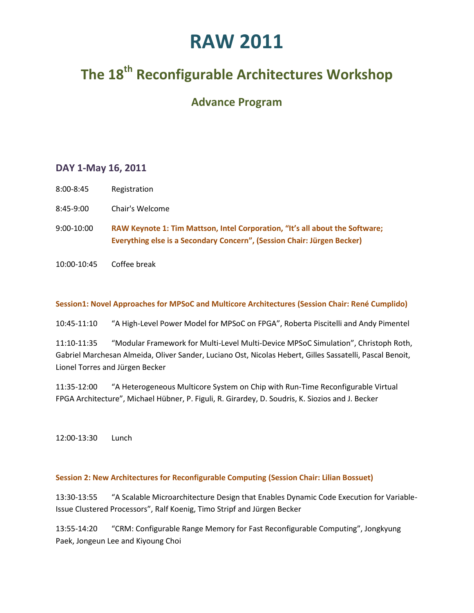## **The 18th Reconfigurable Architectures Workshop**

## **Advance Program**

## **DAY 1-May 16, 2011**

- 8:00-8:45 Registration
- 8:45-9:00 Chair's Welcome
- 9:00-10:00 **RAW Keynote 1: Tim Mattson, Intel Corporation, "It's all about the Software; Everything else is a Secondary Concern", (Session Chair: Jürgen Becker)**
- 10:00-10:45 Coffee break

#### **Session1: Novel Approaches for MPSoC and Multicore Architectures (Session Chair: René Cumplido)**

10:45-11:10 "A High-Level Power Model for MPSoC on FPGA", Roberta Piscitelli and Andy Pimentel

11:10-11:35 "Modular Framework for Multi-Level Multi-Device MPSoC Simulation", Christoph Roth, Gabriel Marchesan Almeida, Oliver Sander, Luciano Ost, Nicolas Hebert, Gilles Sassatelli, Pascal Benoit, Lionel Torres and Jürgen Becker

11:35-12:00 "A Heterogeneous Multicore System on Chip with Run-Time Reconfigurable Virtual FPGA Architecture", Michael Hübner, P. Figuli, R. Girardey, D. Soudris, K. Siozios and J. Becker

12:00-13:30 Lunch

### **Session 2: New Architectures for Reconfigurable Computing (Session Chair: Lilian Bossuet)**

13:30-13:55 "A Scalable Microarchitecture Design that Enables Dynamic Code Execution for Variable-Issue Clustered Processors", Ralf Koenig, Timo Stripf and Jürgen Becker

13:55-14:20 "CRM: Configurable Range Memory for Fast Reconfigurable Computing", Jongkyung Paek, Jongeun Lee and Kiyoung Choi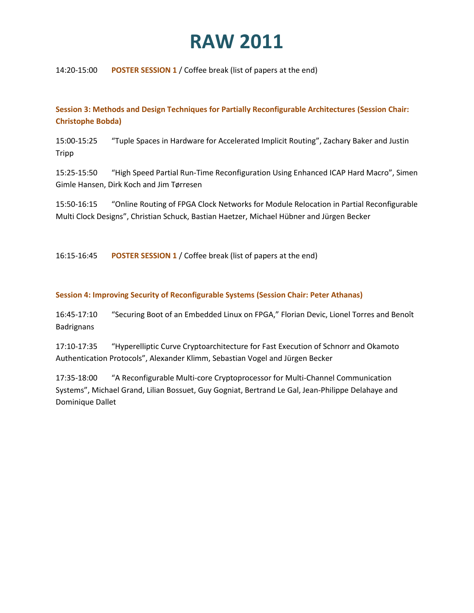14:20-15:00 **POSTER SESSION 1** / Coffee break (list of papers at the end)

**Session 3: Methods and Design Techniques for Partially Reconfigurable Architectures (Session Chair: Christophe Bobda)**

15:00-15:25 "Tuple Spaces in Hardware for Accelerated Implicit Routing", Zachary Baker and Justin Tripp

15:25-15:50 "High Speed Partial Run-Time Reconfiguration Using Enhanced ICAP Hard Macro", Simen Gimle Hansen, Dirk Koch and Jim Tørresen

15:50-16:15 "Online Routing of FPGA Clock Networks for Module Relocation in Partial Reconfigurable Multi Clock Designs", Christian Schuck, Bastian Haetzer, Michael Hübner and Jürgen Becker

16:15-16:45 **POSTER SESSION 1** / Coffee break (list of papers at the end)

#### **Session 4: Improving Security of Reconfigurable Systems (Session Chair: Peter Athanas)**

16:45-17:10 "Securing Boot of an Embedded Linux on FPGA," Florian Devic, Lionel Torres and Benoît Badrignans

17:10-17:35 "Hyperelliptic Curve Cryptoarchitecture for Fast Execution of Schnorr and Okamoto Authentication Protocols", Alexander Klimm, Sebastian Vogel and Jürgen Becker

17:35-18:00 "A Reconfigurable Multi-core Cryptoprocessor for Multi-Channel Communication Systems", Michael Grand, Lilian Bossuet, Guy Gogniat, Bertrand Le Gal, Jean-Philippe Delahaye and Dominique Dallet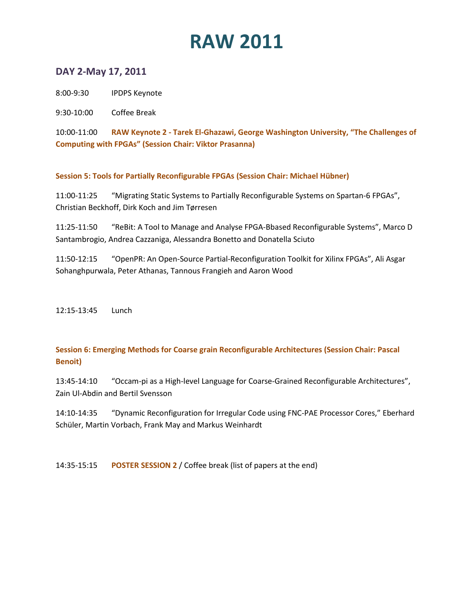## **DAY 2-May 17, 2011**

8:00-9:30 IPDPS Keynote

9:30-10:00 Coffee Break

10:00-11:00 **RAW Keynote 2 - Tarek El-Ghazawi, George Washington University, "The Challenges of Computing with FPGAs" (Session Chair: Viktor Prasanna)**

**Session 5: Tools for Partially Reconfigurable FPGAs (Session Chair: Michael Hübner)**

11:00-11:25 "Migrating Static Systems to Partially Reconfigurable Systems on Spartan-6 FPGAs", Christian Beckhoff, Dirk Koch and Jim Tørresen

11:25-11:50 "ReBit: A Tool to Manage and Analyse FPGA-Bbased Reconfigurable Systems", Marco D Santambrogio, Andrea Cazzaniga, Alessandra Bonetto and Donatella Sciuto

11:50-12:15 "OpenPR: An Open-Source Partial-Reconfiguration Toolkit for Xilinx FPGAs", Ali Asgar Sohanghpurwala, Peter Athanas, Tannous Frangieh and Aaron Wood

12:15-13:45 Lunch

### **Session 6: Emerging Methods for Coarse grain Reconfigurable Architectures (Session Chair: Pascal Benoit)**

13:45-14:10 "Occam-pi as a High-level Language for Coarse-Grained Reconfigurable Architectures", Zain Ul-Abdin and Bertil Svensson

14:10-14:35 "Dynamic Reconfiguration for Irregular Code using FNC-PAE Processor Cores," Eberhard Schüler, Martin Vorbach, Frank May and Markus Weinhardt

14:35-15:15 **POSTER SESSION 2** / Coffee break (list of papers at the end)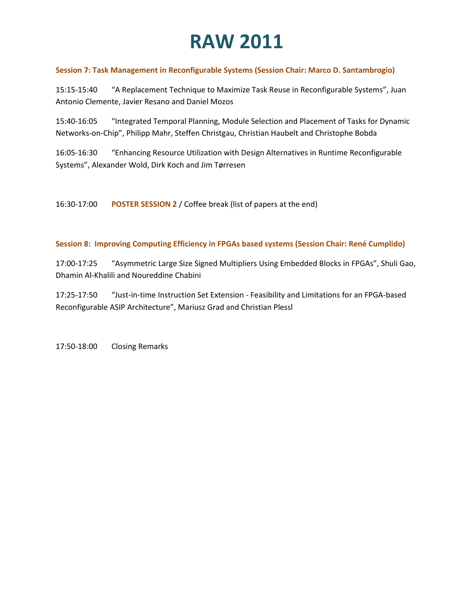### **Session 7: Task Management in Reconfigurable Systems (Session Chair: Marco D. Santambrogio)**

15:15-15:40 "A Replacement Technique to Maximize Task Reuse in Reconfigurable Systems", Juan Antonio Clemente, Javier Resano and Daniel Mozos

15:40-16:05 "Integrated Temporal Planning, Module Selection and Placement of Tasks for Dynamic Networks-on-Chip", Philipp Mahr, Steffen Christgau, Christian Haubelt and Christophe Bobda

16:05-16:30 "Enhancing Resource Utilization with Design Alternatives in Runtime Reconfigurable Systems", Alexander Wold, Dirk Koch and Jim Tørresen

16:30-17:00 **POSTER SESSION 2** / Coffee break (list of papers at the end)

### **Session 8: Improving Computing Efficiency in FPGAs based systems (Session Chair: René Cumplido)**

17:00-17:25 "Asymmetric Large Size Signed Multipliers Using Embedded Blocks in FPGAs", Shuli Gao, Dhamin Al-Khalili and Noureddine Chabini

17:25-17:50 "Just-in-time Instruction Set Extension - Feasibility and Limitations for an FPGA-based Reconfigurable ASIP Architecture", Mariusz Grad and Christian Plessl

17:50-18:00 Closing Remarks